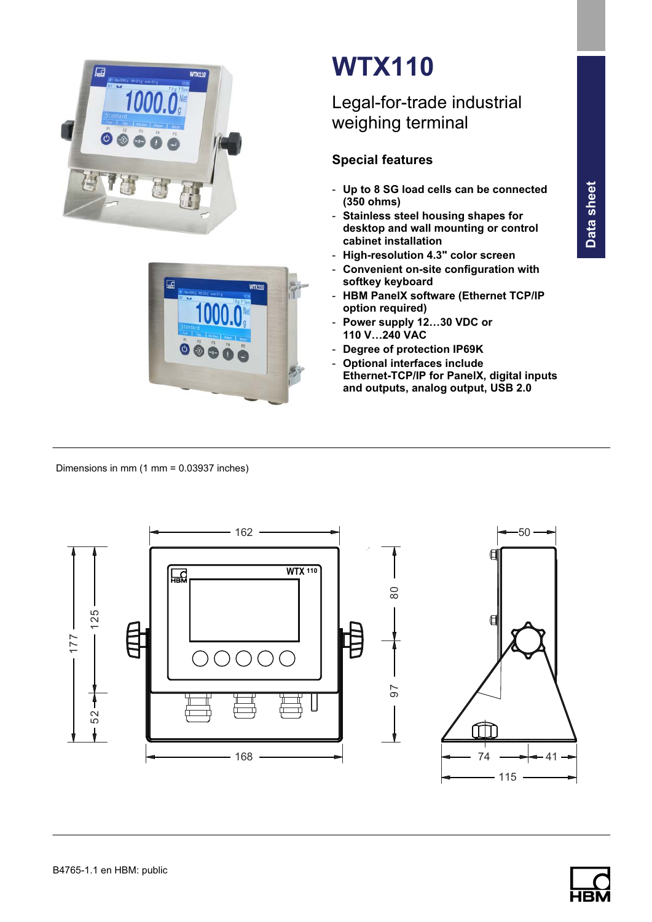



# WTX110

## Legal-for-trade industrial weighing terminal

### Special features

- Up to 8 SG load cells can be connected (350 ohms)
- Stainless steel housing shapes for desktop and wall mounting or control cabinet installation
- High-resolution 4.3" color screen
- Convenient on-site configuration with softkey keyboard
- HBM PanelX software (Ethernet TCP/IP option required)
- Power supply 12…30 VDC or 110 V…240 VAC
- Degree of protection IP69K
- Optional interfaces include Ethernet-TCP/IP for PanelX, digital inputs and outputs, analog output, USB 2.0

Dimensions in mm (1 mm = 0.03937 inches)



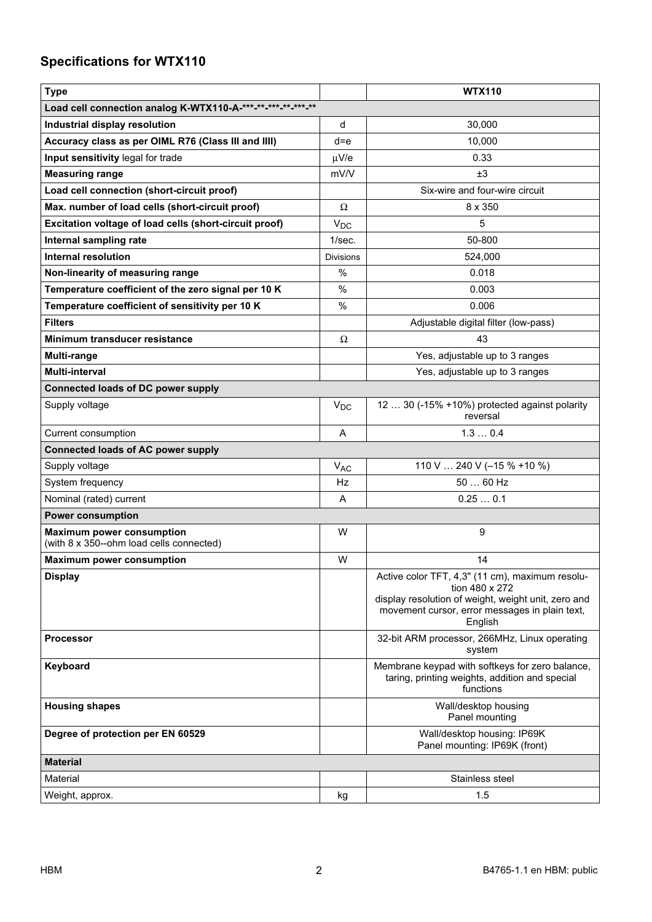## Specifications for WTX110

| <b>Type</b>                                                                  |                  | <b>WTX110</b>                                                                                                                                                                         |
|------------------------------------------------------------------------------|------------------|---------------------------------------------------------------------------------------------------------------------------------------------------------------------------------------|
| Load cell connection analog K-WTX110-A-***-**-**-**-**-**-**                 |                  |                                                                                                                                                                                       |
| Industrial display resolution                                                | d                | 30,000                                                                                                                                                                                |
| Accuracy class as per OIML R76 (Class III and IIII)                          | $d = e$          | 10,000                                                                                                                                                                                |
| Input sensitivity legal for trade                                            | $\mu$ V/e        | 0.33                                                                                                                                                                                  |
| <b>Measuring range</b>                                                       | mV/V             | ±3                                                                                                                                                                                    |
| Load cell connection (short-circuit proof)                                   |                  | Six-wire and four-wire circuit                                                                                                                                                        |
| Max. number of load cells (short-circuit proof)                              | Ω                | $8 \times 350$                                                                                                                                                                        |
| Excitation voltage of load cells (short-circuit proof)                       | $V_{DC}$         | 5                                                                                                                                                                                     |
| Internal sampling rate                                                       | 1/sec.           | 50-800                                                                                                                                                                                |
| <b>Internal resolution</b>                                                   | <b>Divisions</b> | 524,000                                                                                                                                                                               |
| Non-linearity of measuring range                                             | %                | 0.018                                                                                                                                                                                 |
| Temperature coefficient of the zero signal per 10 K                          | $\%$             | 0.003                                                                                                                                                                                 |
| Temperature coefficient of sensitivity per 10 K                              | $\%$             | 0.006                                                                                                                                                                                 |
| <b>Filters</b>                                                               |                  | Adjustable digital filter (low-pass)                                                                                                                                                  |
| Minimum transducer resistance                                                | Ω                | 43                                                                                                                                                                                    |
| <b>Multi-range</b>                                                           |                  | Yes, adjustable up to 3 ranges                                                                                                                                                        |
| <b>Multi-interval</b>                                                        |                  | Yes, adjustable up to 3 ranges                                                                                                                                                        |
| <b>Connected loads of DC power supply</b>                                    |                  |                                                                                                                                                                                       |
| Supply voltage                                                               | $V_{DC}$         | 12  30 (-15% +10%) protected against polarity<br>reversal                                                                                                                             |
| Current consumption                                                          | A                | 1.30.4                                                                                                                                                                                |
| <b>Connected loads of AC power supply</b>                                    |                  |                                                                                                                                                                                       |
| Supply voltage                                                               | $V_{AC}$         | 110 V  240 V (-15 % +10 %)                                                                                                                                                            |
| System frequency                                                             | Hz               | 50  60 Hz                                                                                                                                                                             |
| Nominal (rated) current                                                      | A                | 0.250.1                                                                                                                                                                               |
| <b>Power consumption</b>                                                     |                  |                                                                                                                                                                                       |
| <b>Maximum power consumption</b><br>(with 8 x 350--ohm load cells connected) | W                | 9                                                                                                                                                                                     |
| <b>Maximum power consumption</b>                                             | W                | 14                                                                                                                                                                                    |
| <b>Display</b>                                                               |                  | Active color TFT, 4,3" (11 cm), maximum resolu-<br>tion 480 x 272<br>display resolution of weight, weight unit, zero and<br>movement cursor, error messages in plain text,<br>English |
| <b>Processor</b>                                                             |                  | 32-bit ARM processor, 266MHz, Linux operating<br>system                                                                                                                               |
| Keyboard                                                                     |                  | Membrane keypad with softkeys for zero balance,<br>taring, printing weights, addition and special<br>functions                                                                        |
| <b>Housing shapes</b>                                                        |                  | Wall/desktop housing<br>Panel mounting                                                                                                                                                |
| Degree of protection per EN 60529                                            |                  | Wall/desktop housing: IP69K<br>Panel mounting: IP69K (front)                                                                                                                          |
| <b>Material</b>                                                              |                  |                                                                                                                                                                                       |
| Material                                                                     |                  | Stainless steel                                                                                                                                                                       |
| Weight, approx.                                                              | kg               | 1.5                                                                                                                                                                                   |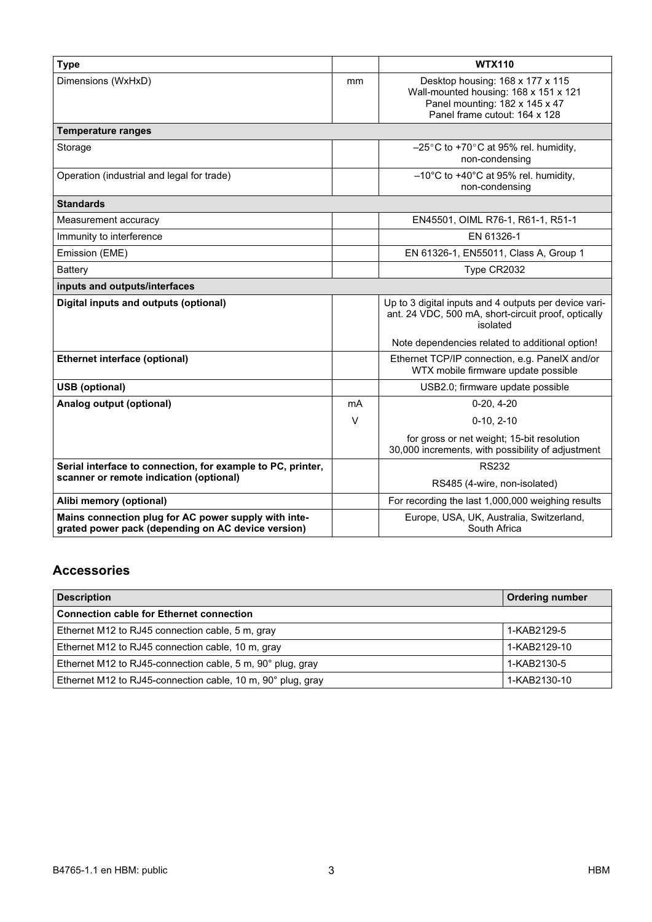| <b>Type</b>                                                                                                |        | <b>WTX110</b>                                                                                                                                |
|------------------------------------------------------------------------------------------------------------|--------|----------------------------------------------------------------------------------------------------------------------------------------------|
| Dimensions (WxHxD)                                                                                         | mm     | Desktop housing: 168 x 177 x 115<br>Wall-mounted housing: 168 x 151 x 121<br>Panel mounting: 182 x 145 x 47<br>Panel frame cutout: 164 x 128 |
| <b>Temperature ranges</b>                                                                                  |        |                                                                                                                                              |
| Storage                                                                                                    |        | $-25^{\circ}$ C to +70 $^{\circ}$ C at 95% rel. humidity,<br>non-condensing                                                                  |
| Operation (industrial and legal for trade)                                                                 |        | $-10^{\circ}$ C to +40 $^{\circ}$ C at 95% rel. humidity,<br>non-condensing                                                                  |
| <b>Standards</b>                                                                                           |        |                                                                                                                                              |
| Measurement accuracy                                                                                       |        | EN45501, OIML R76-1, R61-1, R51-1                                                                                                            |
| Immunity to interference                                                                                   |        | EN 61326-1                                                                                                                                   |
| Emission (EME)                                                                                             |        | EN 61326-1, EN55011, Class A, Group 1                                                                                                        |
| <b>Battery</b>                                                                                             |        | Type CR2032                                                                                                                                  |
| inputs and outputs/interfaces                                                                              |        |                                                                                                                                              |
| Digital inputs and outputs (optional)                                                                      |        | Up to 3 digital inputs and 4 outputs per device vari-<br>ant. 24 VDC, 500 mA, short-circuit proof, optically<br>isolated                     |
|                                                                                                            |        | Note dependencies related to additional option!                                                                                              |
| <b>Ethernet interface (optional)</b>                                                                       |        | Ethernet TCP/IP connection, e.g. PanelX and/or<br>WTX mobile firmware update possible                                                        |
| <b>USB</b> (optional)                                                                                      |        | USB2.0; firmware update possible                                                                                                             |
| Analog output (optional)                                                                                   | mA     | $0-20, 4-20$                                                                                                                                 |
|                                                                                                            | $\vee$ | $0-10.2-10$                                                                                                                                  |
|                                                                                                            |        | for gross or net weight; 15-bit resolution<br>30,000 increments, with possibility of adjustment                                              |
| Serial interface to connection, for example to PC, printer,<br>scanner or remote indication (optional)     |        | <b>RS232</b>                                                                                                                                 |
|                                                                                                            |        | RS485 (4-wire, non-isolated)                                                                                                                 |
| Alibi memory (optional)                                                                                    |        | For recording the last 1,000,000 weighing results                                                                                            |
| Mains connection plug for AC power supply with inte-<br>grated power pack (depending on AC device version) |        | Europe, USA, UK, Australia, Switzerland,<br>South Africa                                                                                     |

#### Accessories

| <b>Description</b>                                          | <b>Ordering number</b> |
|-------------------------------------------------------------|------------------------|
| <b>Connection cable for Ethernet connection</b>             |                        |
| Ethernet M12 to RJ45 connection cable, 5 m, gray            | 1-KAB2129-5            |
| Ethernet M12 to RJ45 connection cable, 10 m, gray           | 1-KAB2129-10           |
| Ethernet M12 to RJ45-connection cable, 5 m, 90° plug, gray  | 1-KAB2130-5            |
| Ethernet M12 to RJ45-connection cable, 10 m, 90° plug, gray | 1-KAB2130-10           |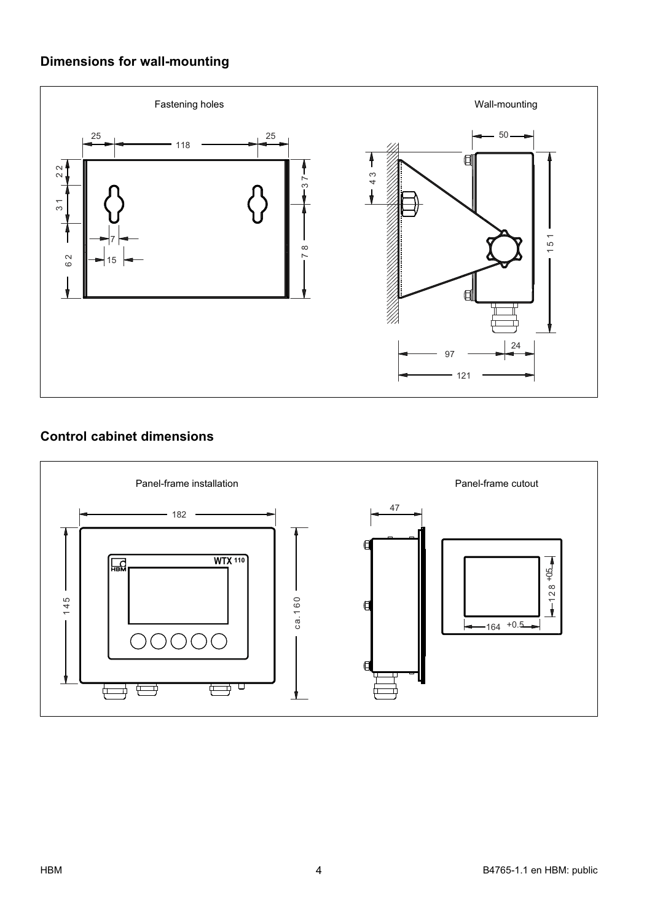### Dimensions for wall-mounting



#### Control cabinet dimensions

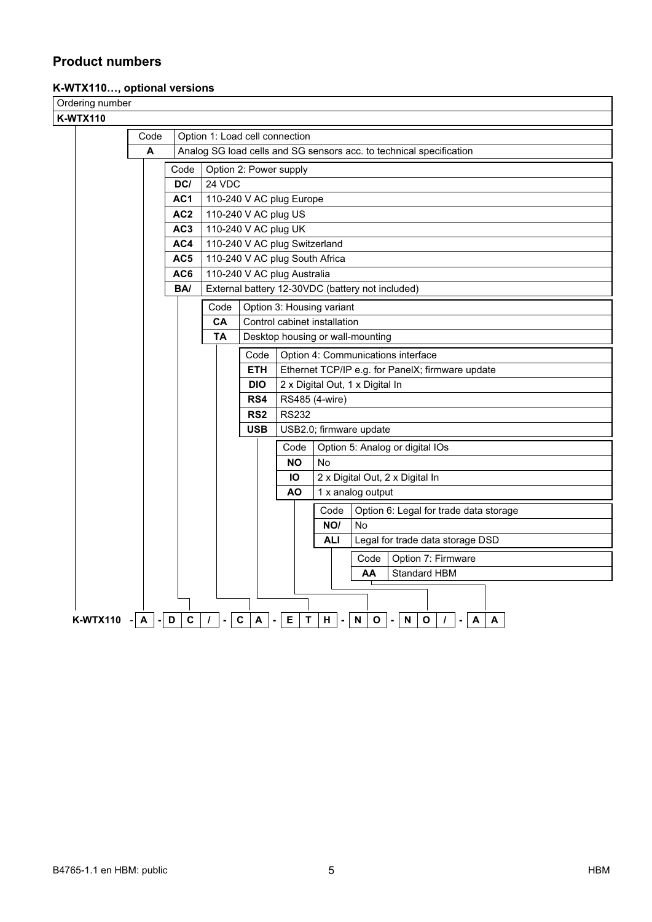#### Product numbers

#### K-WTX110…, optional versions

| Ordering number |                   |                 |                                               |                                                                     |                                 |                                 |                                                                                                                |  |
|-----------------|-------------------|-----------------|-----------------------------------------------|---------------------------------------------------------------------|---------------------------------|---------------------------------|----------------------------------------------------------------------------------------------------------------|--|
| <b>K-WTX110</b> |                   |                 |                                               |                                                                     |                                 |                                 |                                                                                                                |  |
|                 | Code              |                 | Option 1: Load cell connection                |                                                                     |                                 |                                 |                                                                                                                |  |
|                 | A                 |                 |                                               | Analog SG load cells and SG sensors acc. to technical specification |                                 |                                 |                                                                                                                |  |
|                 |                   | Code            | Option 2: Power supply                        |                                                                     |                                 |                                 |                                                                                                                |  |
|                 |                   | DC/             | 24 VDC                                        |                                                                     |                                 |                                 |                                                                                                                |  |
|                 |                   | AC1             | 110-240 V AC plug Europe                      |                                                                     |                                 |                                 |                                                                                                                |  |
|                 |                   | AC <sub>2</sub> | 110-240 V AC plug US                          |                                                                     |                                 |                                 |                                                                                                                |  |
|                 |                   | AC <sub>3</sub> | 110-240 V AC plug UK                          |                                                                     |                                 |                                 |                                                                                                                |  |
|                 |                   | AC4             | 110-240 V AC plug Switzerland                 |                                                                     |                                 |                                 |                                                                                                                |  |
|                 |                   | AC5             | 110-240 V AC plug South Africa                |                                                                     |                                 |                                 |                                                                                                                |  |
|                 |                   | AC6             | 110-240 V AC plug Australia                   |                                                                     |                                 |                                 |                                                                                                                |  |
|                 |                   | BA/             |                                               |                                                                     |                                 |                                 | External battery 12-30VDC (battery not included)                                                               |  |
|                 |                   |                 | Code<br>Option 3: Housing variant             |                                                                     |                                 |                                 |                                                                                                                |  |
|                 |                   |                 | CA                                            |                                                                     |                                 | Control cabinet installation    |                                                                                                                |  |
|                 |                   |                 | <b>TA</b><br>Desktop housing or wall-mounting |                                                                     |                                 |                                 |                                                                                                                |  |
|                 |                   |                 |                                               | Code<br>Option 4: Communications interface                          |                                 |                                 |                                                                                                                |  |
|                 |                   |                 |                                               | <b>ETH</b><br>Ethernet TCP/IP e.g. for PanelX; firmware update      |                                 |                                 |                                                                                                                |  |
|                 |                   |                 |                                               | <b>DIO</b>                                                          | 2 x Digital Out, 1 x Digital In |                                 |                                                                                                                |  |
|                 |                   |                 |                                               | RS4                                                                 | RS485 (4-wire)                  |                                 |                                                                                                                |  |
|                 |                   |                 |                                               | RS <sub>2</sub>                                                     | <b>RS232</b>                    |                                 |                                                                                                                |  |
|                 |                   |                 |                                               | <b>USB</b>                                                          |                                 | USB2.0; firmware update         |                                                                                                                |  |
|                 |                   |                 |                                               |                                                                     | Code                            | Option 5: Analog or digital IOs |                                                                                                                |  |
|                 |                   |                 |                                               |                                                                     | <b>NO</b>                       | No                              |                                                                                                                |  |
|                 |                   |                 |                                               |                                                                     | Ю                               |                                 | 2 x Digital Out, 2 x Digital In                                                                                |  |
|                 |                   |                 |                                               |                                                                     | <b>AO</b>                       | 1 x analog output               |                                                                                                                |  |
|                 |                   |                 |                                               |                                                                     |                                 | Code                            | Option 6: Legal for trade data storage                                                                         |  |
|                 |                   |                 |                                               |                                                                     |                                 | NO/                             | <b>No</b>                                                                                                      |  |
|                 |                   |                 |                                               |                                                                     |                                 | <b>ALI</b>                      | Legal for trade data storage DSD                                                                               |  |
|                 |                   |                 |                                               |                                                                     |                                 |                                 | Code<br>Option 7: Firmware                                                                                     |  |
|                 |                   |                 |                                               |                                                                     |                                 |                                 | <b>Standard HBM</b><br>AA                                                                                      |  |
|                 |                   |                 |                                               |                                                                     |                                 |                                 |                                                                                                                |  |
|                 |                   |                 |                                               |                                                                     |                                 |                                 |                                                                                                                |  |
| <b>K-WTX110</b> | $A \mid - \mid D$ | $\mathbf c$     | $\prime$                                      | $\mathbf c$<br>A                                                    | E<br>$\mathbf T$                | Н.                              | $\boldsymbol{\mathsf{N}}$<br>$\mathbf{o}$<br>O<br>${\sf N}$<br>$\boldsymbol{\mathsf{A}}$<br>$\prime$<br>A<br>٠ |  |